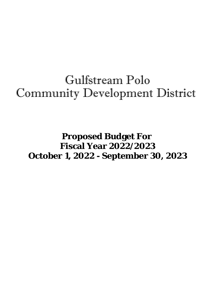# Gulfstream Polo Community Development District

## **Proposed Budget For Fiscal Year 2022/2023 October 1, 2022 - September 30, 2023**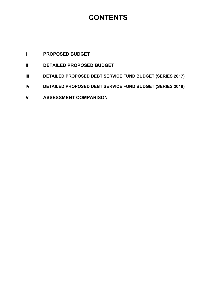### **CONTENTS**

### **I PROPOSED BUDGET**

- **II DETAILED PROPOSED BUDGET**
- **III DETAILED PROPOSED DEBT SERVICE FUND BUDGET (SERIES 2017)**
- **IV DETAILED PROPOSED DEBT SERVICE FUND BUDGET (SERIES 2019)**
- **V ASSESSMENT COMPARISON**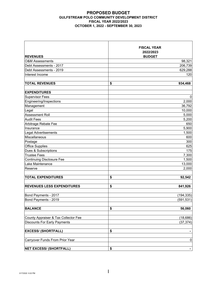#### **PROPOSED BUDGET GULFSTREAM POLO COMMUNITY DEVELOPMENT DISTRICT FISCAL YEAR 2022/2023 OCTOBER 1, 2022 - SEPTEMBER 30, 2023**

| <b>REVENUES</b>                             | <b>FISCAL YEAR</b><br>2022/2023<br><b>BUDGET</b> |
|---------------------------------------------|--------------------------------------------------|
| <b>O&amp;M Assessments</b>                  | 98,321                                           |
| Debt Assessments - 2017                     | 206,739                                          |
| Debt Assessments - 2019                     | 629,288                                          |
| Interest Income                             | 120                                              |
| <b>TOTAL REVENUES</b>                       | \$<br>934,468                                    |
| <b>EXPENDITURES</b>                         |                                                  |
| <b>Supervisor Fees</b>                      | 0                                                |
| Engineering/Inspections                     | 2,000                                            |
| Management                                  | 36,792                                           |
| Legal                                       | 10,000                                           |
| Assessment Roll                             | 5,000                                            |
| <b>Audit Fees</b>                           | 5,200                                            |
| Arbitrage Rebate Fee                        | 650                                              |
| Insurance                                   | 5,900                                            |
| <b>Legal Advertisements</b>                 | 1,500                                            |
| Miscellaneous                               | 600                                              |
| Postage                                     | 300                                              |
| <b>Office Supplies</b>                      | 625                                              |
| Dues & Subscriptions<br><b>Trustee Fees</b> | 175<br>7,300                                     |
| <b>Continuing Disclosure Fee</b>            | 1,500                                            |
| Lake Maintenance                            | 13,000                                           |
| Reserve                                     | 2,000                                            |
|                                             |                                                  |
| <b>TOTAL EXPENDITURES</b>                   | \$<br>92,542                                     |
| <b>REVENUES LESS EXPENDITURES</b>           | \$<br>841,926                                    |
| Bond Payments - 2017                        | (194, 335)                                       |
| Bond Payments - 2019                        | (591, 531)                                       |
| <b>BALANCE</b>                              | \$<br>56,060                                     |
| County Appraiser & Tax Collector Fee        | (18, 686)                                        |
| <b>Discounts For Early Payments</b>         | (37, 374)                                        |
| <b>EXCESS/ (SHORTFALL)</b>                  | \$                                               |
| Carryover Funds From Prior Year             | 0                                                |
| <b>NET EXCESS/ (SHORTFALL)</b>              | \$<br>$\blacksquare$                             |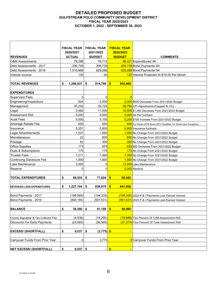#### **DETAILED PROPOSED BUDGET GULFSTREAM POLO COMMUNITY DEVELOPMENT DISTRICT FISCAL YEAR 2022/2023 OCTOBER 1, 2022 - SEPTEMBER 30, 2023**

|                                      | <b>FISCAL YEAR</b> | <b>FISCAL YEAR</b> | <b>FISCAL YEAR</b> |                                                                    |
|--------------------------------------|--------------------|--------------------|--------------------|--------------------------------------------------------------------|
|                                      | 2020/2021          | 2021/2022          | 2022/2023          |                                                                    |
| <b>REVENUES</b>                      | <b>ACTUAL</b>      | <b>BUDGET</b>      | <b>BUDGET</b>      | <b>COMMENTS</b>                                                    |
| <b>O&amp;M Assessments</b>           | 78,286             | 78.712             |                    | 98,321 Expenditures/.94                                            |
| Debt Assessments - 2017              | 206,748            | 206,739            |                    | 206,739 Bond Payments/.94                                          |
| Debt Assessments - 2019              | 1,010,868          | 629,288            |                    | 629,288 Bond Payments/.94                                          |
| Interest Income                      | 135                | 60                 |                    | 120 Interest Projected At \$10.00 Per Month                        |
| <b>TOTAL REVENUES</b>                | \$<br>1,296,037    | \$<br>914,799      | \$<br>934,468      |                                                                    |
| <b>EXPENDITURES</b>                  |                    |                    |                    |                                                                    |
| <b>Supervisor Fees</b>               | 0                  | 0                  | $\overline{0}$     |                                                                    |
| Engineering/Inspections              | 624                | 2,500              |                    | 2,000 \$500 Decrease From 2021/2022 Budget                         |
| Management                           | 35,232             | 35,724             |                    | 36,792 CPI Adjustments (Capped At 3%)                              |
| Legal                                | 3,482              | 11,000             |                    | 10,000 \$1,000 Decrease From 2021/2022 Budget                      |
| Assessment Roll                      | 5,000              | 5,000              |                    | 5,000 As Per Contract                                              |
| <b>Audit Fees</b>                    | 5,000              | 5,100              |                    | 5,200 \$100 Increase From 2021/2022 Budget                         |
| Arbitrage Rebate Fee                 | 650                | 650                |                    | 650 For Series 2019 Bond (2017 Qualifies For Small User Exception) |
| Insurance                            | 5,251              | 5,800              |                    | 5,900 Insurance Estimate                                           |
| Legal Advertisements                 | 1,531              | 1,500              |                    | 1,500 No Change From 2021/2022 Budget                              |
| Miscellaneous                        | 22                 | 600                |                    | 600 No Change From 2021/2022 Budget                                |
| Postage                              | 82                 | 300                |                    | 300 No Change From 2021/2022 Budget                                |
| <b>Office Supplies</b>               | 173                | 675                |                    | 625 \$50 Decrease From 2021/2022 Budget                            |
| Dues & Subscriptions                 | 175                | 175                |                    | 175 No Change From 2021/2022 Budget                                |
| <b>Trustee Fees</b>                  | 7,211              | 7,300              |                    | 7,300 No Change From 2021/2022 Budget                              |
| <b>Continuing Disclosure Fee</b>     | 1,500              | 1,500              |                    | 1,500 No Change From 2021/2022 Budget                              |
| Lake Maintenance                     | 3,000              | 0                  |                    | 13,000 Lake Maintenance                                            |
| Reserve                              | 0                  | 0                  |                    | 2,000 Reserve                                                      |
|                                      |                    |                    |                    |                                                                    |
| <b>TOTAL EXPENDITURES</b>            | \$<br>68,933       | \$<br>77,824       | \$<br>92,542       |                                                                    |
|                                      |                    |                    |                    |                                                                    |
| <b>REVENUES LESS EXPENDITURES</b>    | \$<br>1,227,104    | \$<br>836,975      | \$<br>841,926      |                                                                    |
|                                      |                    |                    |                    |                                                                    |
| Bond Payments - 2017                 | (198, 569)         | (194, 335)         |                    | (194, 335) 2023 P & I Payments Less Earned Interest                |
| Bond Payments - 2019                 | (990, 155)         | (591, 531)         |                    | (591,531) 2023 P & I Payments Less Earned Interest                 |
| <b>BALANCE</b>                       | \$<br>38,380       | \$<br>51,109       | \$<br>56,060       |                                                                    |
| County Appraiser & Tax Collector Fee | (4,938)            | (18, 295)          |                    | (18,686) Two Percent Of Total Assessment Roll                      |
| <b>Discounts For Early Payments</b>  | (23, 905)          | (36, 589)          |                    | (37,374) Four Percent Of Total Assessment Roll                     |
|                                      |                    |                    |                    |                                                                    |
| <b>EXCESS/ (SHORTFALL)</b>           | \$<br>9,537        | \$<br>$(3,775)$ \$ |                    |                                                                    |
|                                      |                    |                    |                    |                                                                    |
| Carryover Funds From Prior Year      | $\overline{0}$     | 3,775              |                    | <b>O</b> Carryover Funds From Prior Year                           |
|                                      |                    |                    |                    |                                                                    |
| <b>NET EXCESS/ (SHORTFALL)</b>       | \$<br>$9,537$ \$   | $\blacksquare$     | \$                 |                                                                    |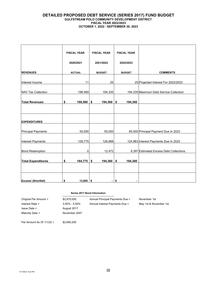#### **DETAILED PROPOSED DEBT SERVICE (SERIES 2017) FUND BUDGET GULFSTREAM POLO COMMUNITY DEVELOPMENT DISTRICT FISCAL YEAR 2022/2023 OCTOBER 1, 2022 - SEPTEMBER 30, 2023**

|                           | <b>FISCAL YEAR</b> | <b>FISCAL YEAR</b> | <b>FISCAL YEAR</b> |                                         |
|---------------------------|--------------------|--------------------|--------------------|-----------------------------------------|
|                           | 2020/2021          | 2021/2022          | 2022/2023          |                                         |
| <b>REVENUES</b>           | <b>ACTUAL</b>      | <b>BUDGET</b>      | <b>BUDGET</b>      | <b>COMMENTS</b>                         |
| Interest Income           | 11                 | 25                 |                    | 25 Projected Interest For 2022/2023     |
| <b>NAV Tax Collection</b> | 198,569            | 194,335            |                    | 194,335 Maximum Debt Service Collection |
| <b>Total Revenues</b>     | $198,580$ \$<br>\$ | 194,360            | \$<br>194,360      |                                         |
|                           |                    |                    |                    |                                         |
| <b>EXPENDITURES</b>       |                    |                    |                    |                                         |
|                           |                    |                    |                    |                                         |
| <b>Principal Payments</b> | 55,000             | 55,000             |                    | 60,000 Principal Payment Due In 2023    |
| Interest Payments         | 129,775            | 126,888            |                    | 124,963 Interest Payments Due In 2023   |
| <b>Bond Redemption</b>    | 0                  | 12,472             |                    | 9,397 Estimated Excess Debt Collections |
| <b>Total Expenditures</b> | $184,775$ \$<br>\$ | 194,360            | \$<br>194,360      |                                         |
|                           |                    |                    |                    |                                         |
| Excess/ (Shortfall)       | \$<br>$13,805$ \$  | $\overline{a}$     | \$                 |                                         |

#### **Series 2017 Bond Information**

| Original Par Amount = | \$2,870,000       | Annual Principal Payments Due = |
|-----------------------|-------------------|---------------------------------|
| Interest Rate $=$     | $3.50\% - 5.00\%$ | Annual Interest Payments Due =  |
| $Is sue Date =$       | August 2017       |                                 |
| Maturity Date $=$     | November 2047     |                                 |

November 1st May 1st & November 1st

Par Amount As Of 1/1/22 = \$2,685,000

3/17/2022 6:22 PM **III**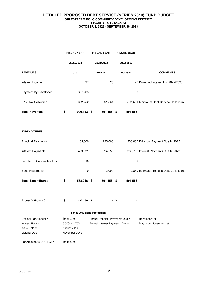#### **DETAILED PROPOSED DEBT SERVICE (SERIES 2019) FUND BUDGET GULFSTREAM POLO COMMUNITY DEVELOPMENT DISTRICT FISCAL YEAR 2022/2023 OCTOBER 1, 2022 - SEPTEMBER 30, 2023**

|                                      | <b>FISCAL YEAR</b> | <b>FISCAL YEAR</b>       | <b>FISCAL YEAR</b>   |                                         |
|--------------------------------------|--------------------|--------------------------|----------------------|-----------------------------------------|
|                                      | 2020/2021          | 2021/2022                | 2022/2023            |                                         |
| <b>REVENUES</b>                      | <b>ACTUAL</b>      | <b>BUDGET</b>            | <b>BUDGET</b>        | <b>COMMENTS</b>                         |
| Interest Income                      | 27                 | 25                       |                      | 25 Projected Interest For 2022/2023     |
| Payment By Developer                 | 387,903            | 0                        | 0                    |                                         |
| <b>NAV Tax Collection</b>            | 602,252            | 591,531                  |                      | 591,531 Maximum Debt Service Collection |
| <b>Total Revenues</b>                | \$<br>$990,182$ \$ | $591,556$ \$             | 591,556              |                                         |
|                                      |                    |                          |                      |                                         |
| <b>EXPENDITURES</b>                  |                    |                          |                      |                                         |
| Principal Payments                   | 185,000            | 195,000                  |                      | 200,000 Principal Payment Due In 2023   |
| Interest Payments                    | 403,031            | 394,556                  |                      | 388,706 Interest Payments Due In 2023   |
| <b>Transfer To Construction Fund</b> | 15                 | 0                        | 0                    |                                         |
|                                      | 0                  | 2,000                    |                      | 2,850 Estimated Excess Debt Collections |
| <b>Bond Redemption</b>               |                    |                          |                      |                                         |
| <b>Total Expenditures</b>            | \$<br>$588,046$ \$ | $591,556$ \$             | 591,556              |                                         |
|                                      |                    |                          |                      |                                         |
| <b>Excess/ (Shortfall)</b>           | \$<br>$402,136$ \$ | $\overline{\phantom{a}}$ | \$<br>$\blacksquare$ |                                         |

#### **Series 2019 Bond Information**

| Original Par Amount =       | \$9,860,000       | Annual Principal Payments Due = | November 1st           |
|-----------------------------|-------------------|---------------------------------|------------------------|
| Interest Rate $=$           | $3.00\% - 4.75\%$ | Annual Interest Payments Due =  | May 1st & November 1st |
| $Is sue Date =$             | August 2019       |                                 |                        |
| Maturity Date $=$           | November 2049     |                                 |                        |
|                             |                   |                                 |                        |
| Par Amount As Of $1/1/22 =$ | \$9.485.000       |                                 |                        |